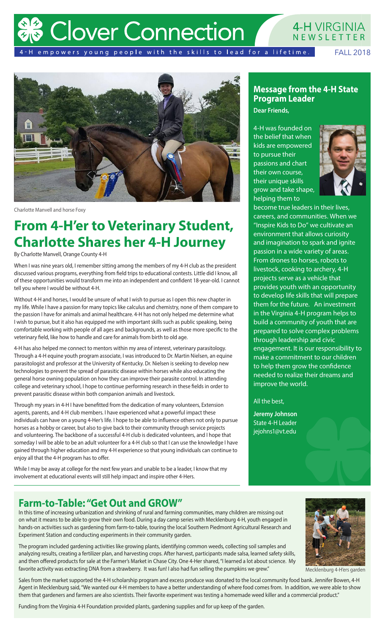# **Clover Connection**

#### **4-H VIRGINIA** NEWSLETTER

4-H empowers young people with the skills to lead for a lifetime.

FALL 2018



Charlotte Manvell and horse Foxy

### **From 4-H'er to Veterinary Student, Charlotte Shares her 4-H Journey**

By Charlotte Manvell, Orange County 4-H

When I was nine years old, I remember sitting among the members of my 4-H club as the president discussed various programs, everything from field trips to educational contests. Little did I know, all of these opportunities would transform me into an independent and confident 18-year-old. I cannot tell you where I would be without 4-H.

Without 4-H and horses, I would be unsure of what I wish to pursue as I open this new chapter in my life. While I have a passion for many topics like calculus and chemistry, none of them compare to the passion I have for animals and animal healthcare. 4-H has not only helped me determine what I wish to pursue, but it also has equipped me with important skills such as public speaking, being comfortable working with people of all ages and backgrounds, as well as those more specific to the veterinary field, like how to handle and care for animals from birth to old age.

4-H has also helped me connect to mentors within my area of interest, veterinary parasitology. Through a 4-H equine youth program associate, I was introduced to Dr. Martin Nielsen, an equine parasitologist and professor at the University of Kentucky. Dr. Nielsen is seeking to develop new technologies to prevent the spread of parasitic disease within horses while also educating the general horse owning population on how they can improve their parasite control. In attending college and veterinary school, I hope to continue performing research in these fields in order to prevent parasitic disease within both companion animals and livestock.

Through my years in 4-H I have benefitted from the dedication of many volunteers, Extension agents, parents, and 4-H club members. I have experienced what a powerful impact these individuals can have on a young 4-Her's life. I hope to be able to influence others not only to pursue horses as a hobby or career, but also to give back to their community through service projects and volunteering. The backbone of a successful 4-H club is dedicated volunteers, and I hope that someday I will be able to be an adult volunteer for a 4-H club so that I can use the knowledge I have gained through higher education and my 4-H experience so that young individuals can continue to enjoy all that the 4-H program has to offer.

While I may be away at college for the next few years and unable to be a leader, I know that my involvement at educational events will still help impact and inspire other 4-Hers.

#### **Message from the 4-H State Program Leader**

**Dear Friends,** 

4-H was founded on the belief that when kids are empowered to pursue their passions and chart their own course, their unique skills grow and take shape, helping them to



become true leaders in their lives, careers, and communities. When we "Inspire Kids to Do" we cultivate an environment that allows curiosity and imagination to spark and ignite passion in a wide variety of areas. From drones to horses, robots to livestock, cooking to archery, 4-H projects serve as a vehicle that provides youth with an opportunity to develop life skills that will prepare them for the future. An investment in the Virginia 4-H program helps to build a community of youth that are prepared to solve complex problems through leadership and civic engagement. It is our responsibility to make a commitment to our children to help them grow the confidence needed to realize their dreams and improve the world.

#### All the best,

**Jeremy Johnson** State 4-H Leader jejohns1@vt.edu

### **Farm-to-Table: "Get Out and GROW"**

In this time of increasing urbanization and shrinking of rural and farming communities, many children are missing out on what it means to be able to grow their own food. During a day camp series with Mecklenburg 4-H, youth engaged in hands-on activities such as gardening from farm-to-table, touring the local Southern Piedmont Agricultural Research and Experiment Station and conducting experiments in their community garden.

The program included gardening activities like growing plants, identifying common weeds, collecting soil samples and analyzing results, creating a fertilizer plan, and harvesting crops. After harvest, participants made salsa, learned safety skills, and then offered products for sale at the Farmer's Market in Chase City. One 4-Her shared, "I learned a lot about science. My favorite activity was extracting DNA from a strawberry. It was fun! I also had fun selling the pumpkins we grew."



Mecklenburg 4-H'ers garden

Sales from the market supported the 4-H scholarship program and excess produce was donated to the local community food bank. Jennifer Bowen, 4-H Agent in Mecklenburg said, "We wanted our 4-H members to have a better understanding of where food comes from. In addition, we were able to show them that gardeners and farmers are also scientists. Their favorite experiment was testing a homemade weed killer and a commercial product."

Funding from the Virginia 4-H Foundation provided plants, gardening supplies and for up keep of the garden.